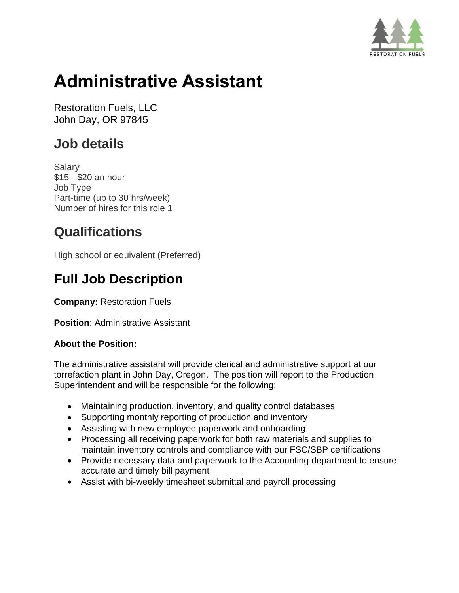

# **Administrative Assistant**

Restoration Fuels, LLC John Day, OR 97845

### **Job details**

Salary \$15 - \$20 an hour Job Type Part-time (up to 30 hrs/week) Number of hires for this role 1

### **Qualifications**

High school or equivalent (Preferred)

## **Full Job Description**

**Company:** Restoration Fuels

**Position: Administrative Assistant** 

#### **About the Position:**

The administrative assistant will provide clerical and administrative support at our torrefaction plant in John Day, Oregon. The position will report to the Production Superintendent and will be responsible for the following:

- Maintaining production, inventory, and quality control databases
- Supporting monthly reporting of production and inventory
- Assisting with new employee paperwork and onboarding
- Processing all receiving paperwork for both raw materials and supplies to maintain inventory controls and compliance with our FSC/SBP certifications
- Provide necessary data and paperwork to the Accounting department to ensure accurate and timely bill payment
- Assist with bi-weekly timesheet submittal and payroll processing